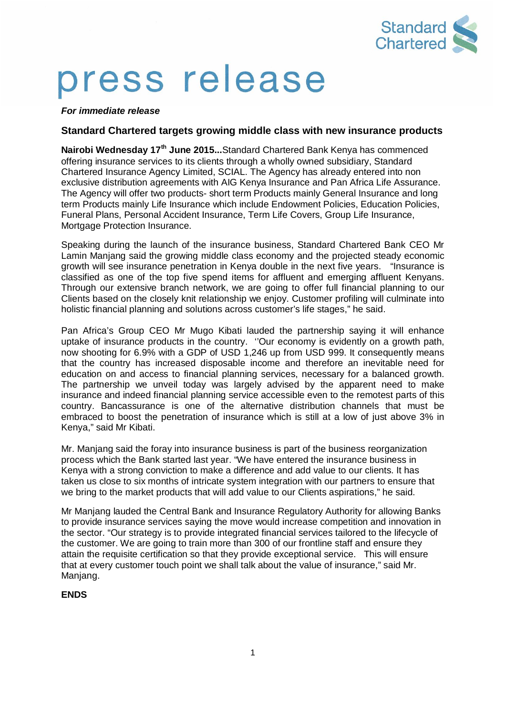

# press release

*For immediate release*

# **Standard Chartered targets growing middle class with new insurance products**

**Nairobi Wednesday 17th June 2015...**Standard Chartered Bank Kenya has commenced offering insurance services to its clients through a wholly owned subsidiary, Standard Chartered Insurance Agency Limited, SCIAL. The Agency has already entered into non exclusive distribution agreements with AIG Kenya Insurance and Pan Africa Life Assurance. The Agency will offer two products- short term Products mainly General Insurance and long term Products mainly Life Insurance which include Endowment Policies, Education Policies, Funeral Plans, Personal Accident Insurance, Term Life Covers, Group Life Insurance, Mortgage Protection Insurance.

Speaking during the launch of the insurance business, Standard Chartered Bank CEO Mr Lamin Manjang said the growing middle class economy and the projected steady economic growth will see insurance penetration in Kenya double in the next five years. "Insurance is classified as one of the top five spend items for affluent and emerging affluent Kenyans. Through our extensive branch network, we are going to offer full financial planning to our Clients based on the closely knit relationship we enjoy. Customer profiling will culminate into holistic financial planning and solutions across customer's life stages," he said.

Pan Africa's Group CEO Mr Mugo Kibati lauded the partnership saying it will enhance uptake of insurance products in the country. ''Our economy is evidently on a growth path, now shooting for 6.9% with a GDP of USD 1,246 up from USD 999. It consequently means that the country has increased disposable income and therefore an inevitable need for education on and access to financial planning services, necessary for a balanced growth. The partnership we unveil today was largely advised by the apparent need to make insurance and indeed financial planning service accessible even to the remotest parts of this country. Bancassurance is one of the alternative distribution channels that must be embraced to boost the penetration of insurance which is still at a low of just above 3% in Kenya," said Mr Kibati.

Mr. Manjang said the foray into insurance business is part of the business reorganization process which the Bank started last year. "We have entered the insurance business in Kenya with a strong conviction to make a difference and add value to our clients. It has taken us close to six months of intricate system integration with our partners to ensure that we bring to the market products that will add value to our Clients aspirations," he said.

Mr Manjang lauded the Central Bank and Insurance Regulatory Authority for allowing Banks to provide insurance services saying the move would increase competition and innovation in the sector. "Our strategy is to provide integrated financial services tailored to the lifecycle of the customer. We are going to train more than 300 of our frontline staff and ensure they attain the requisite certification so that they provide exceptional service. This will ensure that at every customer touch point we shall talk about the value of insurance," said Mr. Manjang.

## **ENDS**